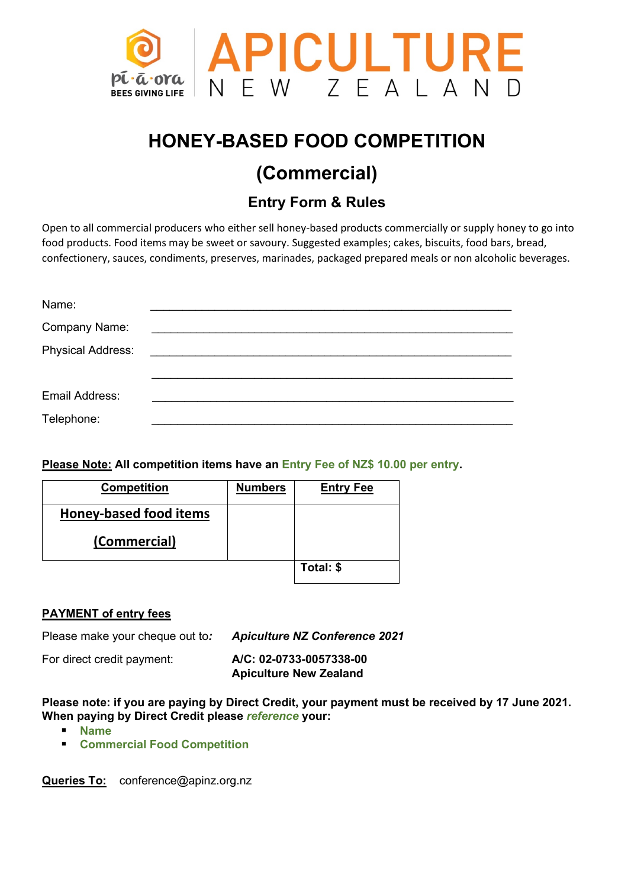

# **HONEY-BASED FOOD COMPETITION**

# **(Commercial)**

## **Entry Form & Rules**

Open to all commercial producers who either sell honey-based products commercially or supply honey to go into food products. Food items may be sweet or savoury. Suggested examples; cakes, biscuits, food bars, bread, confectionery, sauces, condiments, preserves, marinades, packaged prepared meals or non alcoholic beverages.

| Name:                    |                                                                                                                       |
|--------------------------|-----------------------------------------------------------------------------------------------------------------------|
| Company Name:            | <u> 1989 - Johann John Stein, markin film yn y brening yn y brening yn y brening yn y brening yn y brening yn y b</u> |
| <b>Physical Address:</b> | <u> 1980 - Andrea Brand, amerikansk politik (</u>                                                                     |
| Email Address:           |                                                                                                                       |
| Telephone:               |                                                                                                                       |

#### **Please Note: All competition items have an Entry Fee of NZ\$ 10.00 per entry.**

| <b>Competition</b>            | <b>Numbers</b> | <b>Entry Fee</b> |
|-------------------------------|----------------|------------------|
| <b>Honey-based food items</b> |                |                  |
| (Commercial)                  |                |                  |
|                               |                | Total: \$        |

#### **PAYMENT of entry fees**

Please make your cheque out to*: Apiculture NZ Conference 2021* For direct credit payment: **A/C: 02-0733-0057338-00 Apiculture New Zealand**

**Please note: if you are paying by Direct Credit, your payment must be received by 17 June 2021. When paying by Direct Credit please** *reference* **your:**

- **Name**
- **Commercial Food Competition**

**Queries To:** conference@apinz.org.nz